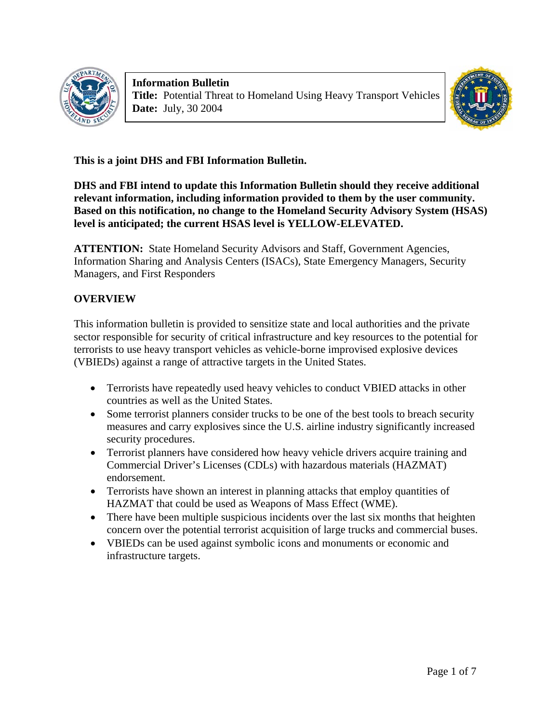

**Information Bulletin Title:** Potential Threat to Homeland Using Heavy Transport Vehicles **Date:** July, 30 2004



**This is a joint DHS and FBI Information Bulletin.** 

**DHS and FBI intend to update this Information Bulletin should they receive additional relevant information, including information provided to them by the user community. Based on this notification, no change to the Homeland Security Advisory System (HSAS) level is anticipated; the current HSAS level is YELLOW-ELEVATED.** 

**ATTENTION:** State Homeland Security Advisors and Staff, Government Agencies, Information Sharing and Analysis Centers (ISACs), State Emergency Managers, Security Managers, and First Responders

# **OVERVIEW**

This information bulletin is provided to sensitize state and local authorities and the private sector responsible for security of critical infrastructure and key resources to the potential for terrorists to use heavy transport vehicles as vehicle-borne improvised explosive devices (VBIEDs) against a range of attractive targets in the United States.

- Terrorists have repeatedly used heavy vehicles to conduct VBIED attacks in other countries as well as the United States.
- Some terrorist planners consider trucks to be one of the best tools to breach security measures and carry explosives since the U.S. airline industry significantly increased security procedures.
- Terrorist planners have considered how heavy vehicle drivers acquire training and Commercial Driver's Licenses (CDLs) with hazardous materials (HAZMAT) endorsement.
- Terrorists have shown an interest in planning attacks that employ quantities of HAZMAT that could be used as Weapons of Mass Effect (WME).
- There have been multiple suspicious incidents over the last six months that heighten concern over the potential terrorist acquisition of large trucks and commercial buses.
- VBIEDs can be used against symbolic icons and monuments or economic and infrastructure targets.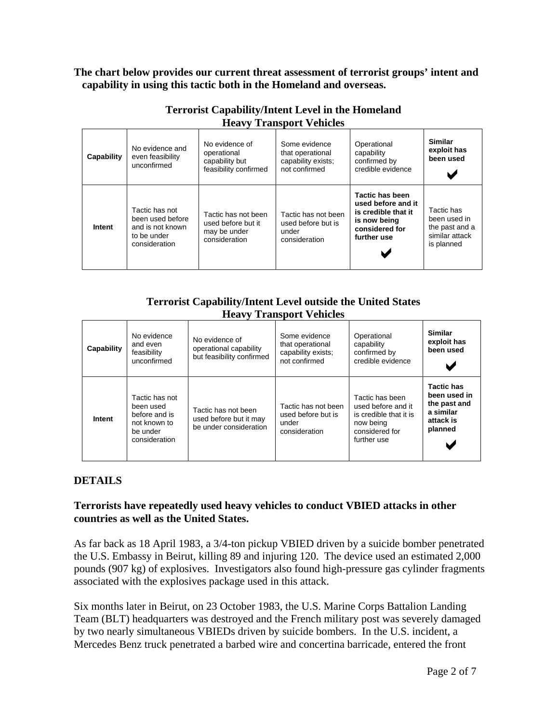**The chart below provides our current threat assessment of terrorist groups' intent and capability in using this tactic both in the Homeland and overseas.** 

| Capability | No evidence and<br>even feasibility<br>unconfirmed                                     | No evidence of<br>operational<br>capability but<br>feasibility confirmed   | Some evidence<br>that operational<br>capability exists;<br>not confirmed | Operational<br>capability<br>confirmed by<br>credible evidence                                                | <b>Similar</b><br>exploit has<br>been used                                   |
|------------|----------------------------------------------------------------------------------------|----------------------------------------------------------------------------|--------------------------------------------------------------------------|---------------------------------------------------------------------------------------------------------------|------------------------------------------------------------------------------|
| Intent     | Tactic has not<br>been used before<br>and is not known<br>to be under<br>consideration | Tactic has not been<br>used before but it<br>may be under<br>consideration | Tactic has not been<br>used before but is<br>under<br>consideration      | Tactic has been<br>used before and it<br>is credible that it<br>is now being<br>considered for<br>further use | Tactic has<br>been used in<br>the past and a<br>similar attack<br>is planned |

### **Terrorist Capability/Intent Level in the Homeland Heavy Transport Vehicles**

### **Terrorist Capability/Intent Level outside the United States Heavy Transport Vehicles**

| Capability | No evidence<br>and even<br>feasibility<br>unconfirmed                                     | No evidence of<br>operational capability<br>but feasibility confirmed   | Some evidence<br>that operational<br>capability exists;<br>not confirmed | Operational<br>capability<br>confirmed by<br>credible evidence                                                | <b>Similar</b><br>exploit has<br>been used                                             |
|------------|-------------------------------------------------------------------------------------------|-------------------------------------------------------------------------|--------------------------------------------------------------------------|---------------------------------------------------------------------------------------------------------------|----------------------------------------------------------------------------------------|
| Intent     | Tactic has not<br>been used<br>before and is<br>not known to<br>be under<br>consideration | Tactic has not been<br>used before but it may<br>be under consideration | Tactic has not been<br>used before but is<br>under<br>consideration      | Tactic has been<br>used before and it<br>is credible that it is<br>now being<br>considered for<br>further use | <b>Tactic has</b><br>been used in<br>the past and<br>a similar<br>attack is<br>planned |

## **DETAILS**

#### **Terrorists have repeatedly used heavy vehicles to conduct VBIED attacks in other countries as well as the United States.**

As far back as 18 April 1983, a 3/4-ton pickup VBIED driven by a suicide bomber penetrated the U.S. Embassy in Beirut, killing 89 and injuring 120. The device used an estimated 2,000 pounds (907 kg) of explosives. Investigators also found high-pressure gas cylinder fragments associated with the explosives package used in this attack.

Six months later in Beirut, on 23 October 1983, the U.S. Marine Corps Battalion Landing Team (BLT) headquarters was destroyed and the French military post was severely damaged by two nearly simultaneous VBIEDs driven by suicide bombers. In the U.S. incident, a Mercedes Benz truck penetrated a barbed wire and concertina barricade, entered the front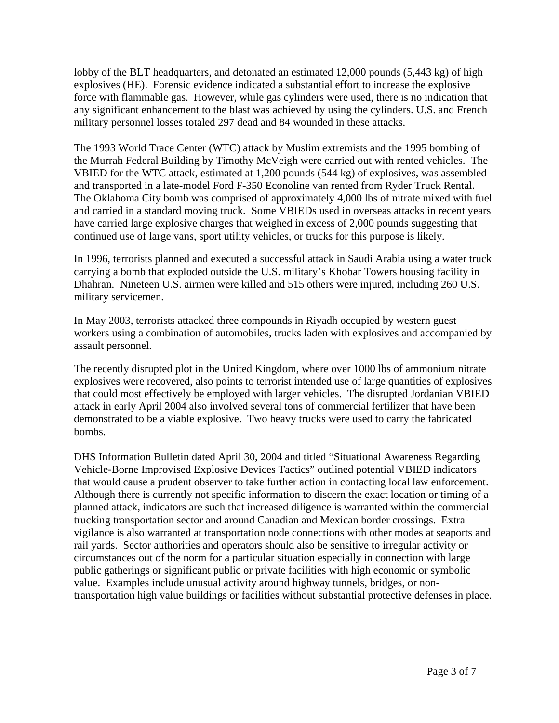lobby of the BLT headquarters, and detonated an estimated 12,000 pounds (5,443 kg) of high explosives (HE). Forensic evidence indicated a substantial effort to increase the explosive force with flammable gas. However, while gas cylinders were used, there is no indication that any significant enhancement to the blast was achieved by using the cylinders. U.S. and French military personnel losses totaled 297 dead and 84 wounded in these attacks.

The 1993 World Trace Center (WTC) attack by Muslim extremists and the 1995 bombing of the Murrah Federal Building by Timothy McVeigh were carried out with rented vehicles. The VBIED for the WTC attack, estimated at 1,200 pounds (544 kg) of explosives, was assembled and transported in a late-model Ford F-350 Econoline van rented from Ryder Truck Rental. The Oklahoma City bomb was comprised of approximately 4,000 lbs of nitrate mixed with fuel and carried in a standard moving truck. Some VBIEDs used in overseas attacks in recent years have carried large explosive charges that weighed in excess of 2,000 pounds suggesting that continued use of large vans, sport utility vehicles, or trucks for this purpose is likely.

In 1996, terrorists planned and executed a successful attack in Saudi Arabia using a water truck carrying a bomb that exploded outside the U.S. military's Khobar Towers housing facility in Dhahran. Nineteen U.S. airmen were killed and 515 others were injured, including 260 U.S. military servicemen.

In May 2003, terrorists attacked three compounds in Riyadh occupied by western guest workers using a combination of automobiles, trucks laden with explosives and accompanied by assault personnel.

The recently disrupted plot in the United Kingdom, where over 1000 lbs of ammonium nitrate explosives were recovered, also points to terrorist intended use of large quantities of explosives that could most effectively be employed with larger vehicles. The disrupted Jordanian VBIED attack in early April 2004 also involved several tons of commercial fertilizer that have been demonstrated to be a viable explosive. Two heavy trucks were used to carry the fabricated bombs.

DHS Information Bulletin dated April 30, 2004 and titled "Situational Awareness Regarding Vehicle-Borne Improvised Explosive Devices Tactics" outlined potential VBIED indicators that would cause a prudent observer to take further action in contacting local law enforcement. Although there is currently not specific information to discern the exact location or timing of a planned attack, indicators are such that increased diligence is warranted within the commercial trucking transportation sector and around Canadian and Mexican border crossings. Extra vigilance is also warranted at transportation node connections with other modes at seaports and rail yards. Sector authorities and operators should also be sensitive to irregular activity or circumstances out of the norm for a particular situation especially in connection with large public gatherings or significant public or private facilities with high economic or symbolic value. Examples include unusual activity around highway tunnels, bridges, or nontransportation high value buildings or facilities without substantial protective defenses in place.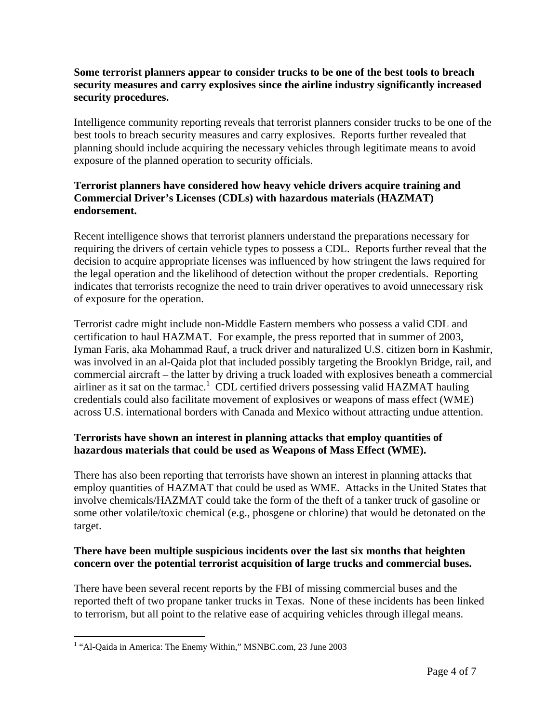### **Some terrorist planners appear to consider trucks to be one of the best tools to breach security measures and carry explosives since the airline industry significantly increased security procedures.**

Intelligence community reporting reveals that terrorist planners consider trucks to be one of the best tools to breach security measures and carry explosives. Reports further revealed that planning should include acquiring the necessary vehicles through legitimate means to avoid exposure of the planned operation to security officials.

### **Terrorist planners have considered how heavy vehicle drivers acquire training and Commercial Driver's Licenses (CDLs) with hazardous materials (HAZMAT) endorsement.**

Recent intelligence shows that terrorist planners understand the preparations necessary for requiring the drivers of certain vehicle types to possess a CDL. Reports further reveal that the decision to acquire appropriate licenses was influenced by how stringent the laws required for the legal operation and the likelihood of detection without the proper credentials. Reporting indicates that terrorists recognize the need to train driver operatives to avoid unnecessary risk of exposure for the operation.

Terrorist cadre might include non-Middle Eastern members who possess a valid CDL and certification to haul HAZMAT. For example, the press reported that in summer of 2003, Iyman Faris, aka Mohammad Rauf, a truck driver and naturalized U.S. citizen born in Kashmir, was involved in an al-Qaida plot that included possibly targeting the Brooklyn Bridge, rail, and commercial aircraft – the latter by driving a truck loaded with explosives beneath a commercial airliner as it sat on the tarmac.<sup>[1](#page-3-0)</sup> CDL certified drivers possessing valid HAZMAT hauling credentials could also facilitate movement of explosives or weapons of mass effect (WME) across U.S. international borders with Canada and Mexico without attracting undue attention.

### **Terrorists have shown an interest in planning attacks that employ quantities of hazardous materials that could be used as Weapons of Mass Effect (WME).**

There has also been reporting that terrorists have shown an interest in planning attacks that employ quantities of HAZMAT that could be used as WME. Attacks in the United States that involve chemicals/HAZMAT could take the form of the theft of a tanker truck of gasoline or some other volatile/toxic chemical (e.g., phosgene or chlorine) that would be detonated on the target.

### **There have been multiple suspicious incidents over the last six months that heighten concern over the potential terrorist acquisition of large trucks and commercial buses.**

There have been several recent reports by the FBI of missing commercial buses and the reported theft of two propane tanker trucks in Texas. None of these incidents has been linked to terrorism, but all point to the relative ease of acquiring vehicles through illegal means.

1

<span id="page-3-0"></span><sup>&</sup>lt;sup>1</sup> "Al-Qaida in America: The Enemy Within," MSNBC.com, 23 June 2003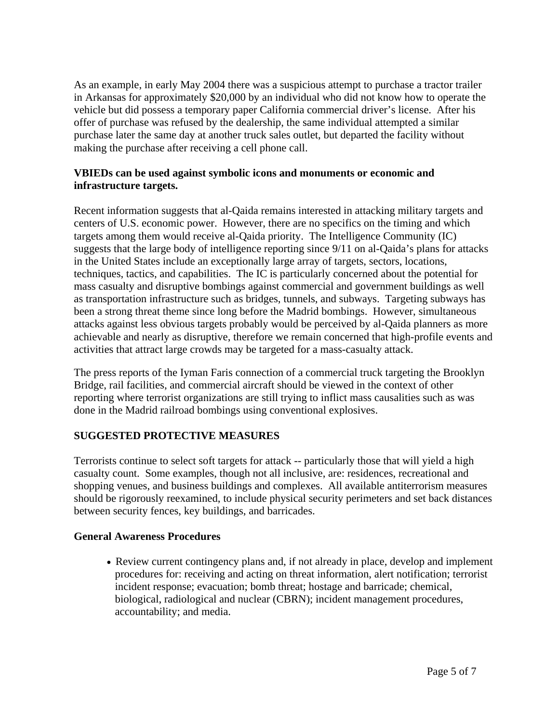As an example, in early May 2004 there was a suspicious attempt to purchase a tractor trailer in Arkansas for approximately \$20,000 by an individual who did not know how to operate the vehicle but did possess a temporary paper California commercial driver's license. After his offer of purchase was refused by the dealership, the same individual attempted a similar purchase later the same day at another truck sales outlet, but departed the facility without making the purchase after receiving a cell phone call.

#### **VBIEDs can be used against symbolic icons and monuments or economic and infrastructure targets.**

Recent information suggests that al-Qaida remains interested in attacking military targets and centers of U.S. economic power. However, there are no specifics on the timing and which targets among them would receive al-Qaida priority. The Intelligence Community (IC) suggests that the large body of intelligence reporting since 9/11 on al-Qaida's plans for attacks in the United States include an exceptionally large array of targets, sectors, locations, techniques, tactics, and capabilities. The IC is particularly concerned about the potential for mass casualty and disruptive bombings against commercial and government buildings as well as transportation infrastructure such as bridges, tunnels, and subways. Targeting subways has been a strong threat theme since long before the Madrid bombings. However, simultaneous attacks against less obvious targets probably would be perceived by al-Qaida planners as more achievable and nearly as disruptive, therefore we remain concerned that high-profile events and activities that attract large crowds may be targeted for a mass-casualty attack.

The press reports of the Iyman Faris connection of a commercial truck targeting the Brooklyn Bridge, rail facilities, and commercial aircraft should be viewed in the context of other reporting where terrorist organizations are still trying to inflict mass causalities such as was done in the Madrid railroad bombings using conventional explosives.

### **SUGGESTED PROTECTIVE MEASURES**

Terrorists continue to select soft targets for attack -- particularly those that will yield a high casualty count. Some examples, though not all inclusive, are: residences, recreational and shopping venues, and business buildings and complexes. All available antiterrorism measures should be rigorously reexamined, to include physical security perimeters and set back distances between security fences, key buildings, and barricades.

### **General Awareness Procedures**

• Review current contingency plans and, if not already in place, develop and implement procedures for: receiving and acting on threat information, alert notification; terrorist incident response; evacuation; bomb threat; hostage and barricade; chemical, biological, radiological and nuclear (CBRN); incident management procedures, accountability; and media.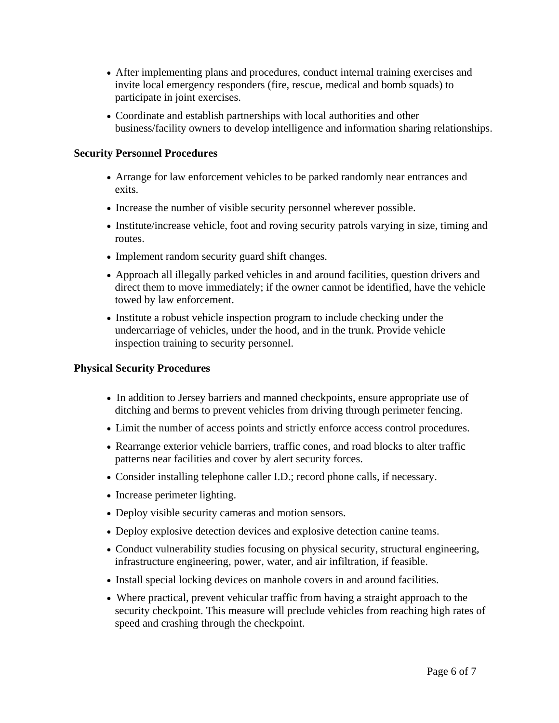- After implementing plans and procedures, conduct internal training exercises and invite local emergency responders (fire, rescue, medical and bomb squads) to participate in joint exercises.
- Coordinate and establish partnerships with local authorities and other business/facility owners to develop intelligence and information sharing relationships.

### **Security Personnel Procedures**

- Arrange for law enforcement vehicles to be parked randomly near entrances and exits.
- Increase the number of visible security personnel wherever possible.
- Institute/increase vehicle, foot and roving security patrols varying in size, timing and routes.
- Implement random security guard shift changes.
- Approach all illegally parked vehicles in and around facilities, question drivers and direct them to move immediately; if the owner cannot be identified, have the vehicle towed by law enforcement.
- Institute a robust vehicle inspection program to include checking under the undercarriage of vehicles, under the hood, and in the trunk. Provide vehicle inspection training to security personnel.

#### **Physical Security Procedures**

- In addition to Jersey barriers and manned checkpoints, ensure appropriate use of ditching and berms to prevent vehicles from driving through perimeter fencing.
- Limit the number of access points and strictly enforce access control procedures.
- Rearrange exterior vehicle barriers, traffic cones, and road blocks to alter traffic patterns near facilities and cover by alert security forces.
- Consider installing telephone caller I.D.; record phone calls, if necessary.
- Increase perimeter lighting.
- Deploy visible security cameras and motion sensors.
- Deploy explosive detection devices and explosive detection canine teams.
- Conduct vulnerability studies focusing on physical security, structural engineering, infrastructure engineering, power, water, and air infiltration, if feasible.
- Install special locking devices on manhole covers in and around facilities.
- Where practical, prevent vehicular traffic from having a straight approach to the security checkpoint. This measure will preclude vehicles from reaching high rates of speed and crashing through the checkpoint.